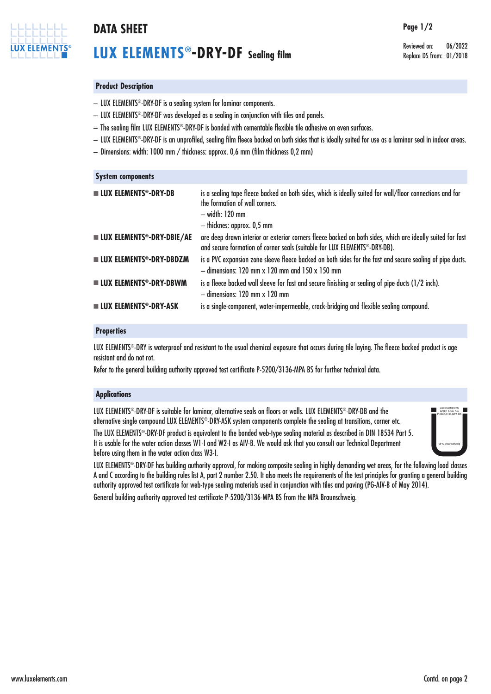

# **DATA SHEET Page 1/2**

# **LUX ELEMENTS®-DRY-DF Sealing film**

Reviewed on: 06/2022 Replace DS from: 01/2018

## **Product Description**

- LUX ELEMENTS®-DRY-DF is a sealing system for laminar components.
- LUX ELEMENTS®-DRY-DF was developed as a sealing in conjunction with tiles and panels.
- $-$  The sealing film LUX ELEMENTS®-DRY-DF is bonded with cementable flexible tile adhesive on even surfaces.
- LUX ELEMENTS®-DRY-DF is an unprofiled, sealing film fleece backed on both sides that is ideally suited for use as a laminar seal in indoor areas.
- Dimensions: width: 1000 mm / thickness: approx. 0,6 mm (film thickness 0,2 mm)

### **System components**

| <b>LUX ELEMENTS<sup>®</sup>-DRY-DB</b>             | is a sealing tape fleece backed on both sides, which is ideally suited for wall/floor connections and for<br>the formation of wall corners.<br>— width: 120 mm<br>- thicknes: approx. 0,5 mm |
|----------------------------------------------------|----------------------------------------------------------------------------------------------------------------------------------------------------------------------------------------------|
| <b>LUX ELEMENTS<sup>®</sup>-DRY-DBIE/AE</b>        | are deep drawn interior or exterior corners fleece backed on both sides, which are ideally suited for fast<br>and secure formation of corner seals (suitable for LUX ELEMENTS®-DRY-DB).      |
| <b>LUX ELEMENTS<sup>®</sup>-DRY-DBDZM</b>          | is a PVC expansion zone sleeve fleece backed on both sides for the fast and secure sealing of pipe ducts<br>$-$ dimensions: 120 mm x 120 mm and 150 x 150 mm                                 |
| $\blacksquare$ LUX ELEMENTS <sup>®</sup> -DRY-DBWM | is a fleece backed wall sleeve for fast and secure finishing or sealing of pipe ducts (1/2 inch).<br>$-$ dimensions: 120 mm x 120 mm                                                         |
| <b>LUX ELEMENTS<sup>®</sup>-DRY-ASK</b>            | is a single-component, water-impermeable, crack-bridging and flexible sealing compound.                                                                                                      |

## **Properties**

LUX ELEMENTS®-DRY is waterproof and resistant to the usual chemical exposure that occurs during tile laying. The fleece backed product is age resistant and do not rot.

Refer to the general building authority approved test certificate P-5200/3136-MPA BS for further technical data.

## **Applications**

LUX ELEMENTS®-DRY-DF is suitable for laminar, alternative seals on floors or walls. LUX ELEMENTS®-DRY-DB and the alternative single compound LUX ELEMENTS®-DRY-ASK system components complete the sealing at transitions, corner etc.

The LUX ELEMENTS<sup>®</sup>-DRY-DF product is equivalent to the bonded web-type sealing material as described in DIN 18534 Part 5. It is usable for the water action classes W1-I and W2-I as AIV-B. We would ask that you consult our Technical Department before using them in the water action class W3-I.



LUX ELEMENTS®-DRY-DF has building authority approval, for making composite sealing in highly demanding wet areas, for the following load classes A and C according to the building rules list A, part 2 number 2.50. It also meets the requirements of the test principles for granting a general building authority approved test certificate for web-type sealing materials used in conjunction with tiles and paving (PG-AIV-B of May 2014).

General building authority approved test certificate P-5200/3136-MPA BS from the MPA Braunschweig.